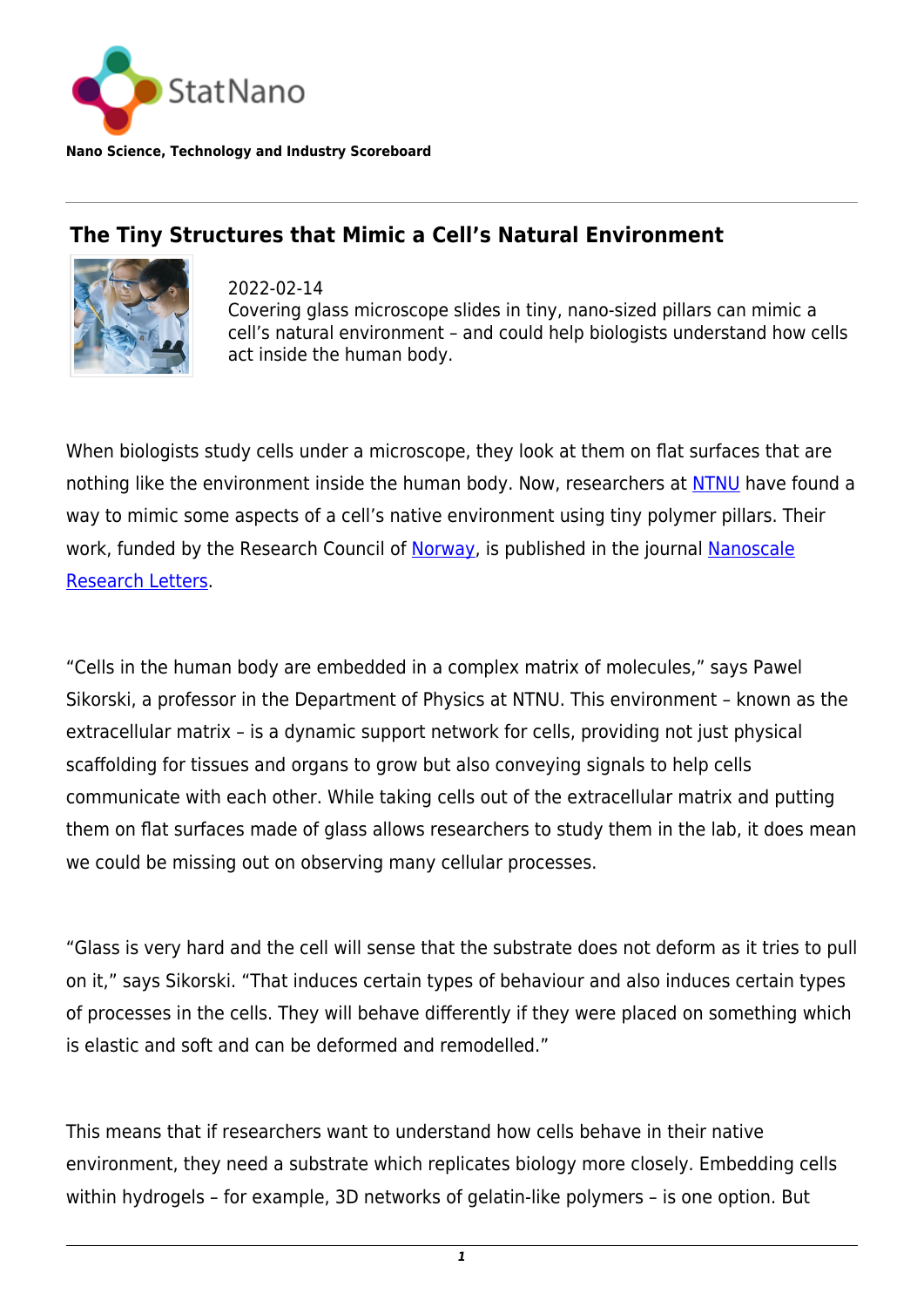

**Nano Science, Technology and Industry Scoreboard**

## **The Tiny Structures that Mimic a Cell's Natural Environment**



2022-02-14 Covering glass microscope slides in tiny, nano-sized pillars can mimic a cell's natural environment – and could help biologists understand how cells act inside the human body.

When biologists study cells under a microscope, they look at them on flat surfaces that are nothing like the environment inside the human body. Now, researchers at [NTNU](https://www.ntnu.edu/) have found a way to mimic some aspects of a cell's native environment using tiny polymer pillars. Their work, funded by the Research Council of [Norway](http://statnano.com/country/Norway), is published in the journal [Nanoscale](https://nanoscalereslett.springeropen.com/articles/10.1186/s11671-021-03598-9) [Research Letters](https://nanoscalereslett.springeropen.com/articles/10.1186/s11671-021-03598-9).

"Cells in the human body are embedded in a complex matrix of molecules," says Pawel Sikorski, a professor in the Department of Physics at NTNU. This environment – known as the extracellular matrix – is a dynamic support network for cells, providing not just physical scaffolding for tissues and organs to grow but also conveying signals to help cells communicate with each other. While taking cells out of the extracellular matrix and putting them on flat surfaces made of glass allows researchers to study them in the lab, it does mean we could be missing out on observing many cellular processes.

"Glass is very hard and the cell will sense that the substrate does not deform as it tries to pull on it," says Sikorski. "That induces certain types of behaviour and also induces certain types of processes in the cells. They will behave differently if they were placed on something which is elastic and soft and can be deformed and remodelled."

This means that if researchers want to understand how cells behave in their native environment, they need a substrate which replicates biology more closely. Embedding cells within hydrogels – for example, 3D networks of gelatin-like polymers – is one option. But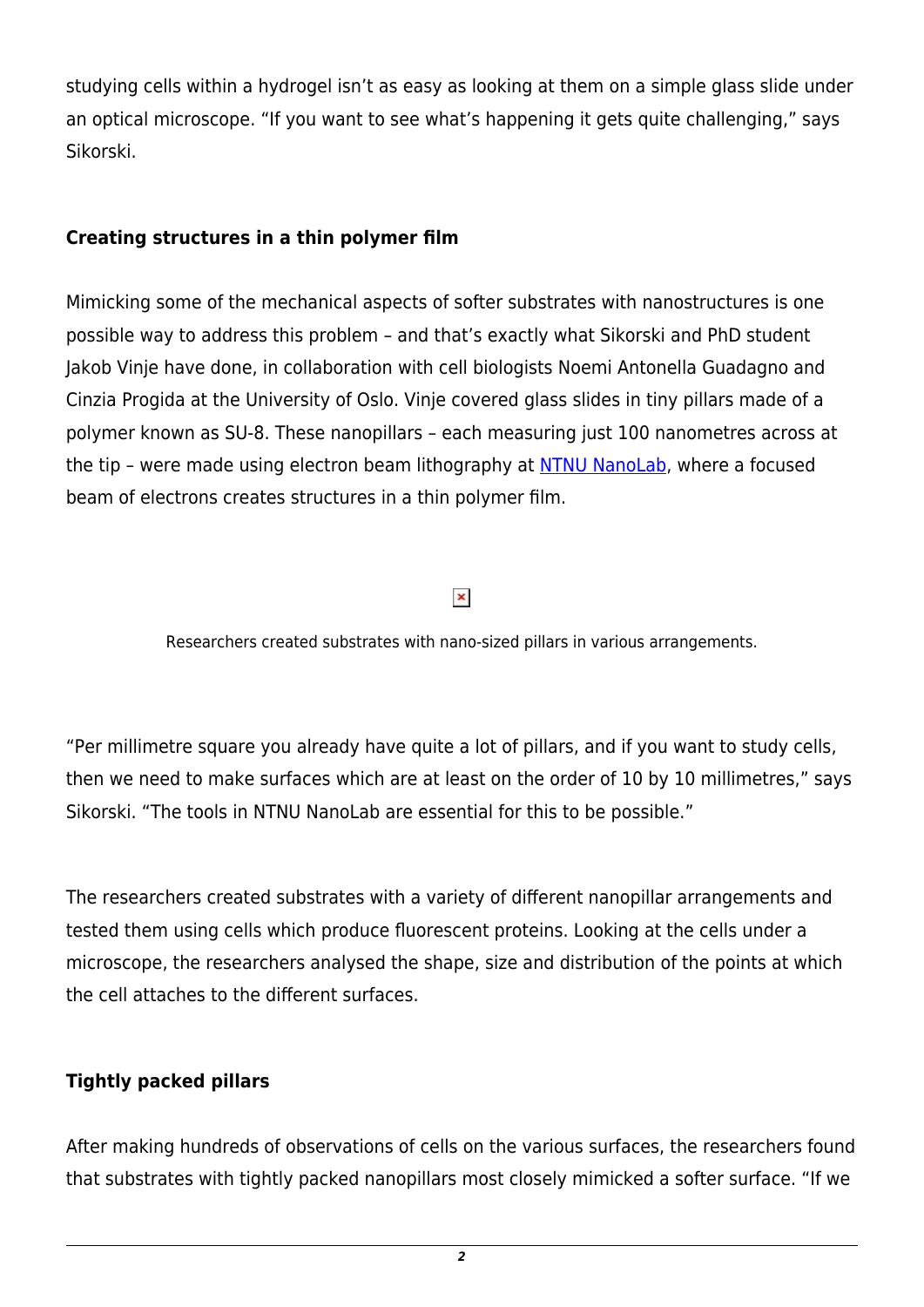studying cells within a hydrogel isn't as easy as looking at them on a simple glass slide under an optical microscope. "If you want to see what's happening it gets quite challenging," says Sikorski.

## **Creating structures in a thin polymer film**

Mimicking some of the mechanical aspects of softer substrates with nanostructures is one possible way to address this problem – and that's exactly what Sikorski and PhD student Jakob Vinje have done, in collaboration with cell biologists Noemi Antonella Guadagno and Cinzia Progida at the University of Oslo. Vinje covered glass slides in tiny pillars made of a polymer known as SU-8. These nanopillars – each measuring just 100 nanometres across at the tip – were made using electron beam lithography at [NTNU NanoLab,](https://www.ntnu.edu/nano/nanolab) where a focused beam of electrons creates structures in a thin polymer film.

## $\pmb{\times}$

Researchers created substrates with nano-sized pillars in various arrangements.

"Per millimetre square you already have quite a lot of pillars, and if you want to study cells, then we need to make surfaces which are at least on the order of 10 by 10 millimetres," says Sikorski. "The tools in NTNU NanoLab are essential for this to be possible."

The researchers created substrates with a variety of different nanopillar arrangements and tested them using cells which produce fluorescent proteins. Looking at the cells under a microscope, the researchers analysed the shape, size and distribution of the points at which the cell attaches to the different surfaces.

## **Tightly packed pillars**

After making hundreds of observations of cells on the various surfaces, the researchers found that substrates with tightly packed nanopillars most closely mimicked a softer surface. "If we